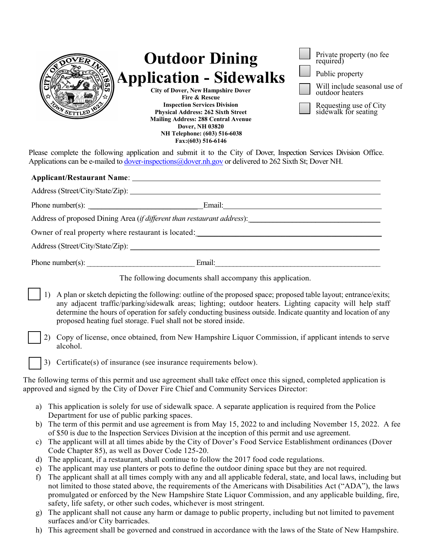| WA SETTLED 162                                      | <b>Outdoor Dining</b><br><b>Application - Sidewalks</b><br><b>City of Dover, New Hampshire Dover</b><br><b>Fire &amp; Rescue</b><br><b>Inspection Services Division</b><br><b>Physical Address: 262 Sixth Street</b><br><b>Mailing Address: 288 Central Avenue</b><br><b>Dover, NH 03820</b><br>NH Telephone: (603) 516-6038<br>Fax: (603) 516-6146<br>Please complete the following application and submit it to the City of Dover, Inspection Services Division Office. | Private property (no fee<br>required)<br>Public property<br>Will include seasonal use of<br>outdoor heaters<br>Requesting use of City<br>sidewalk for seating |
|-----------------------------------------------------|---------------------------------------------------------------------------------------------------------------------------------------------------------------------------------------------------------------------------------------------------------------------------------------------------------------------------------------------------------------------------------------------------------------------------------------------------------------------------|---------------------------------------------------------------------------------------------------------------------------------------------------------------|
|                                                     | Applications can be e-mailed to dover-inspections@dover.nh.gov or delivered to 262 Sixth St; Dover NH.                                                                                                                                                                                                                                                                                                                                                                    |                                                                                                                                                               |
|                                                     |                                                                                                                                                                                                                                                                                                                                                                                                                                                                           |                                                                                                                                                               |
|                                                     | Address (Street/City/State/Zip):                                                                                                                                                                                                                                                                                                                                                                                                                                          |                                                                                                                                                               |
| Phone number(s): $\qquad \qquad$                    |                                                                                                                                                                                                                                                                                                                                                                                                                                                                           |                                                                                                                                                               |
|                                                     | Address of proposed Dining Area (if different than restaurant address):                                                                                                                                                                                                                                                                                                                                                                                                   |                                                                                                                                                               |
| Owner of real property where restaurant is located: |                                                                                                                                                                                                                                                                                                                                                                                                                                                                           |                                                                                                                                                               |

Address (Street/City/State/Zip): \_\_\_\_\_\_\_\_\_\_\_\_\_\_\_\_\_\_\_\_\_\_\_\_\_\_\_\_\_\_\_\_\_\_\_\_\_\_\_\_\_\_\_\_\_\_\_\_\_\_\_\_\_\_\_\_\_\_\_\_\_\_

Phone number(s): \_\_\_\_\_\_\_\_\_\_\_\_\_\_\_\_\_\_\_\_\_\_\_\_\_\_\_\_\_\_ Email:\_\_\_\_\_\_\_\_\_\_\_\_\_\_\_\_\_\_\_\_\_\_\_\_\_\_\_\_\_\_\_\_\_\_\_\_\_\_\_\_\_\_\_\_\_\_

The following documents shall accompany this application.

- 1) A plan or sketch depicting the following: outline of the proposed space; proposed table layout; entrance/exits; any adjacent traffic/parking/sidewalk areas; lighting; outdoor heaters. Lighting capacity will help staff determine the hours of operation for safely conducting business outside. Indicate quantity and location of any proposed heating fuel storage. Fuel shall not be stored inside.
- 2) Copy of license, once obtained, from New Hampshire Liquor Commission, if applicant intends to serve alcohol.

3) Certificate(s) of insurance (see insurance requirements below).

The following terms of this permit and use agreement shall take effect once this signed, completed application is approved and signed by the City of Dover Fire Chief and Community Services Director:

- a) This application is solely for use of sidewalk space. A separate application is required from the Police Department for use of public parking spaces.
- b) The term of this permit and use agreement is from May 15, 2022 to and including November 15, 2022. A fee of \$50 is due to the Inspection Services Division at the inception of this permit and use agreement.
- c) The applicant will at all times abide by the City of Dover's Food Service Establishment ordinances (Dover Code Chapter 85), as well as Dover Code 125-20.
- d) The applicant, if a restaurant, shall continue to follow the 2017 food code regulations.
- e) The applicant may use planters or pots to define the outdoor dining space but they are not required.
- f) The applicant shall at all times comply with any and all applicable federal, state, and local laws, including but not limited to those stated above, the requirements of the Americans with Disabilities Act ("ADA"), the laws promulgated or enforced by the New Hampshire State Liquor Commission, and any applicable building, fire, safety, life safety, or other such codes, whichever is most stringent.
- g) The applicant shall not cause any harm or damage to public property, including but not limited to pavement surfaces and/or City barricades.
- h) This agreement shall be governed and construed in accordance with the laws of the State of New Hampshire.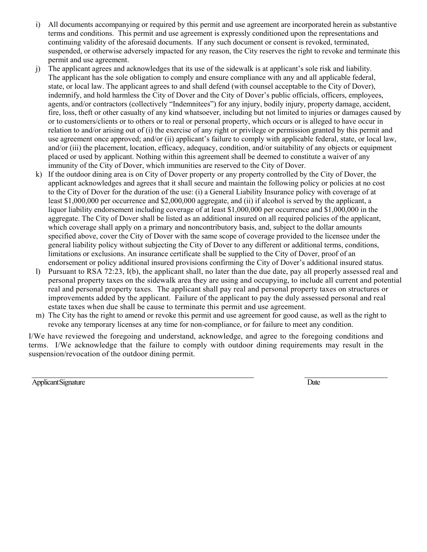- i) All documents accompanying or required by this permit and use agreement are incorporated herein as substantive terms and conditions. This permit and use agreement is expressly conditioned upon the representations and continuing validity of the aforesaid documents. If any such document or consent is revoked, terminated, suspended, or otherwise adversely impacted for any reason, the City reserves the right to revoke and terminate this permit and use agreement.
- j) The applicant agrees and acknowledges that its use of the sidewalk is at applicant's sole risk and liability. The applicant has the sole obligation to comply and ensure compliance with any and all applicable federal, state, or local law. The applicant agrees to and shall defend (with counsel acceptable to the City of Dover), indemnify, and hold harmless the City of Dover and the City of Dover's public officials, officers, employees, agents, and/or contractors (collectively "Indemnitees") for any injury, bodily injury, property damage, accident, fire, loss, theft or other casualty of any kind whatsoever, including but not limited to injuries or damages caused by or to customers/clients or to others or to real or personal property, which occurs or is alleged to have occur in relation to and/or arising out of (i) the exercise of any right or privilege or permission granted by this permit and use agreement once approved; and/or (ii) applicant's failure to comply with applicable federal, state, or local law, and/or (iii) the placement, location, efficacy, adequacy, condition, and/or suitability of any objects or equipment placed or used by applicant. Nothing within this agreement shall be deemed to constitute a waiver of any immunity of the City of Dover, which immunities are reserved to the City of Dover.
- k) If the outdoor dining area is on City of Dover property or any property controlled by the City of Dover, the applicant acknowledges and agrees that it shall secure and maintain the following policy or policies at no cost to the City of Dover for the duration of the use: (i) a General Liability Insurance policy with coverage of at least \$1,000,000 per occurrence and \$2,000,000 aggregate, and (ii) if alcohol is served by the applicant, a liquor liability endorsement including coverage of at least \$1,000,000 per occurrence and \$1,000,000 in the aggregate. The City of Dover shall be listed as an additional insured on all required policies of the applicant, which coverage shall apply on a primary and noncontributory basis, and, subject to the dollar amounts specified above, cover the City of Dover with the same scope of coverage provided to the licensee under the general liability policy without subjecting the City of Dover to any different or additional terms, conditions, limitations or exclusions. An insurance certificate shall be supplied to the City of Dover, proof of an endorsement or policy additional insured provisions confirming the City of Dover's additional insured status.
- l) Pursuant to RSA 72:23, I(b), the applicant shall, no later than the due date, pay all properly assessed real and personal property taxes on the sidewalk area they are using and occupying, to include all current and potential real and personal property taxes. The applicant shall pay real and personal property taxes on structures or improvements added by the applicant. Failure of the applicant to pay the duly assessed personal and real estate taxes when due shall be cause to terminate this permit and use agreement.
- m) The City has the right to amend or revoke this permit and use agreement for good cause, as well as the right to revoke any temporary licenses at any time for non-compliance, or for failure to meet any condition.

I/We have reviewed the foregoing and understand, acknowledge, and agree to the foregoing conditions and terms. I/We acknowledge that the failure to comply with outdoor dining requirements may result in the suspension/revocation of the outdoor dining permit.

Applicant Signature Date